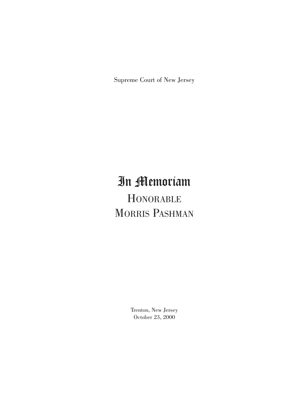Supreme Court of New Jersey

# In Memoriam

**HONORABLE** MORRIS PASHMAN

> Trenton, New Jersey October 23, 2000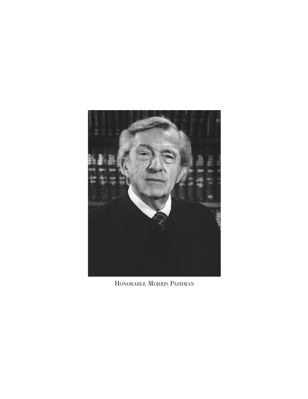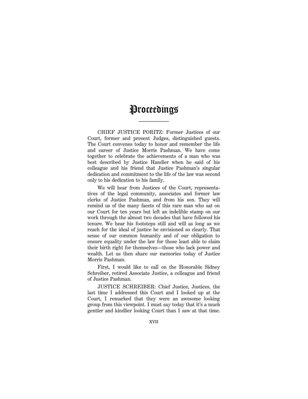# Proceedings

—————

CHIEF JUSTICE PORITZ: Former Justices of our Court, former and present Judges, distinguished guests. The Court convenes today to honor and remember the life and career of Justice Morris Pashman. We have come together to celebrate the achievements of a man who was best described by Justice Handler when he said of his colleague and his friend that Justice Pashman's singular dedication and commitment to the life of the law was second only to his dedication to his family.

We will hear from Justices of the Court, representatives of the legal community, associates and former law clerks of Justice Pashman, and from his son. They will remind us of the many facets of this rare man who sat on our Court for ten years but left an indelible stamp on our work through the almost two decades that have followed his tenure. We hear his footsteps still and will as long as we reach for the ideal of justice he envisioned so clearly. That sense of our common humanity and of our obligation to ensure equality under the law for those least able to claim their birth right for themselves—those who lack power and wealth. Let us then share our memories today of Justice Morris Pashman.

First, I would like to call on the Honorable Sidney Schreiber, retired Associate Justice, a colleague and friend of Justice Pashman.

JUSTICE SCHREIBER: Chief Justice, Justices, the last time I addressed this Court and I looked up at the Court, I remarked that they were an awesome looking group from this viewpoint. I must say today that it's a much gentler and kindlier looking Court than I saw at that time.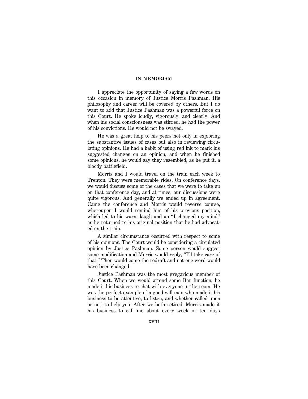I appreciate the opportunity of saying a few words on this occasion in memory of Justice Morris Pashman. His philosophy and career will be covered by others. But I do want to add that Justice Pashman was a powerful force on this Court. He spoke loudly, vigorously, and clearly. And when his social consciousness was stirred, he had the power of his convictions. He would not be swayed.

He was a great help to his peers not only in exploring the substantive issues of cases but also in reviewing circulating opinions. He had a habit of using red ink to mark his suggested changes on an opinion, and when he finished some opinions, he would say they resembled, as he put it, a bloody battlefield.

Morris and I would travel on the train each week to Trenton. They were memorable rides. On conference days, we would discuss some of the cases that we were to take up on that conference day, and at times, our discussions were quite vigorous. And generally we ended up in agreement. Came the conference and Morris would reverse course, whereupon I would remind him of his previous position, which led to his warm laugh and an "I changed my mind" as he returned to his original position that he had advocated on the train.

A similar circumstance occurred with respect to some of his opinions. The Court would be considering a circulated opinion by Justice Pashman. Some person would suggest some modification and Morris would reply, "I'll take care of that.'' Then would come the redraft and not one word would have been changed.

Justice Pashman was the most gregarious member of this Court. When we would attend some Bar function, he made it his business to chat with everyone in the room. He was the perfect example of a good will man who made it his business to be attentive, to listen, and whether called upon or not, to help you. After we both retired, Morris made it his business to call me about every week or ten days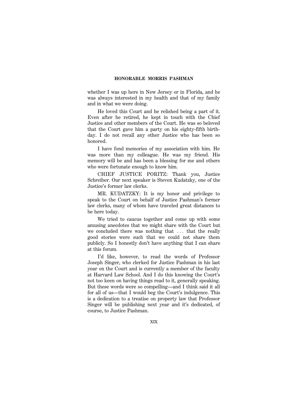whether I was up here in New Jersey or in Florida, and he was always interested in my health and that of my family and in what we were doing.

He loved this Court and he relished being a part of it. Even after he retired, he kept in touch with the Chief Justice and other members of the Court. He was so beloved that the Court gave him a party on his eighty-fifth birthday. I do not recall any other Justice who has been so honored.

I have fond memories of my association with him. He was more than my colleague. He was my friend. His memory will be and has been a blessing for me and others who were fortunate enough to know him.

CHIEF JUSTICE PORITZ: Thank you, Justice Schreiber. Our next speaker is Steven Kudatzky, one of the Justice's former law clerks.

MR. KUDATZKY: It is my honor and privilege to speak to the Court on behalf of Justice Pashman's former law clerks, many of whom have traveled great distances to be here today.

We tried to caucus together and come up with some amusing anecdotes that we might share with the Court but we concluded there was nothing that  $\ldots$  that the really good stories were such that we could not share them publicly. So I honestly don't have anything that I can share at this forum.

I'd like, however, to read the words of Professor Joseph Singer, who clerked for Justice Pashman in his last year on the Court and is currently a member of the faculty at Harvard Law School. And I do this knowing the Court's not too keen on having things read to it, generally speaking. But these words were so compelling—and I think said it all for all of us—that I would beg the Court's indulgence. This is a dedication to a treatise on property law that Professor Singer will be publishing next year and it's dedicated, of course, to Justice Pashman.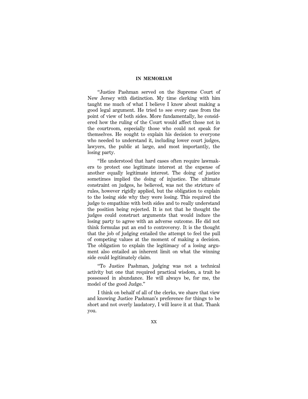''Justice Pashman served on the Supreme Court of New Jersey with distinction. My time clerking with him taught me much of what I believe I know about making a good legal argument. He tried to see every case from the point of view of both sides. More fundamentally, he considered how the ruling of the Court would affect those not in the courtroom, especially those who could not speak for themselves. He sought to explain his decision to everyone who needed to understand it, including lower court judges, lawyers, the public at large, and most importantly, the losing party.

''He understood that hard cases often require lawmakers to protect one legitimate interest at the expense of another equally legitimate interest. The doing of justice sometimes implied the doing of injustice. The ultimate constraint on judges, he believed, was not the stricture of rules, however rigidly applied, but the obligation to explain to the losing side why they were losing. This required the judge to empathize with both sides and to really understand the position being rejected. It is not that he thought the judges could construct arguments that would induce the losing party to agree with an adverse outcome. He did not think formulas put an end to controversy. It is the thought that the job of judging entailed the attempt to feel the pull of competing values at the moment of making a decision. The obligation to explain the legitimacy of a losing argument also entailed an inherent limit on what the winning side could legitimately claim.

''To Justice Pashman, judging was not a technical activity but one that required practical wisdom, a trait he possessed in abundance. He will always be, for me, the model of the good Judge.''

I think on behalf of all of the clerks, we share that view and knowing Justice Pashman's preference for things to be short and not overly laudatory, I will leave it at that. Thank you.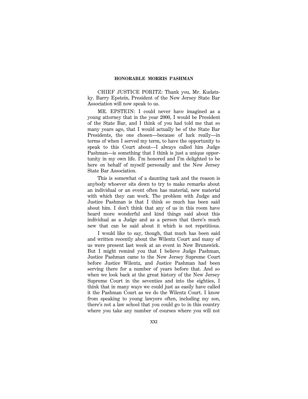CHIEF JUSTICE PORITZ: Thank you, Mr. Kudatzky. Barry Epstein, President of the New Jersey State Bar Association will now speak to us.

MR. EPSTEIN: I could never have imagined as a young attorney that in the year 2000, I would be President of the State Bar, and I think of you had told me that so many years ago, that I would actually be of the State Bar Presidents, the one chosen—because of luck really—in terms of when I served my term, to have the opportunity to speak to this Court about—I always called him Judge Pashman—is something that I think is just a unique opportunity in my own life. I'm honored and I'm delighted to be here on behalf of myself personally and the New Jersey State Bar Association.

This is somewhat of a daunting task and the reason is anybody whoever sits down to try to make remarks about an individual or an event often has material, new material with which they can work. The problem with Judge and Justice Pashman is that I think so much has been said about him. I don't think that any of us in this room have heard more wonderful and kind things said about this individual as a Judge and as a person that there's much new that can be said about it which is not repetitious.

I would like to say, though, that much has been said and written recently about the Wilentz Court and many of us were present last week at an event in New Brunswick. But I might remind you that I believe Judge Pashman, Justice Pashman came to the New Jersey Supreme Court before Justice Wilentz, and Justice Pashman had been serving there for a number of years before that. And so when we look back at the great history of the New Jersey Supreme Court in the seventies and into the eighties, I think that in many ways we could just as easily have called it the Pashman Court as we do the Wilentz Court. I know from speaking to young lawyers often, including my son, there's not a law school that you could go to in this country where you take any number of courses where you will not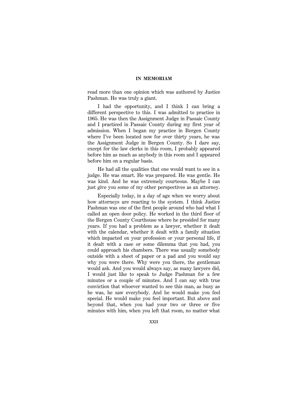read more than one opinion which was authored by Justice Pashman. He was truly a giant.

I had the opportunity, and I think I can bring a different perspective to this. I was admitted to practice in 1965. He was then the Assignment Judge in Passaic County and I practiced in Passaic County during my first year of admission. When I began my practice in Bergen County where I've been located now for over thirty years, he was the Assignment Judge in Bergen County. So I dare say, except for the law clerks in this room, I probably appeared before him as much as anybody in this room and I appeared before him on a regular basis.

He had all the qualities that one would want to see in a judge. He was smart. He was prepared. He was gentle. He was kind. And he was extremely courteous. Maybe I can just give you some of my other perspectives as an attorney.

Especially today, in a day of age when we worry about how attorneys are reacting to the system. I think Justice Pashman was one of the first people around who had what I called an open door policy. He worked in the third floor of the Bergen County Courthouse where he presided for many years. If you had a problem as a lawyer, whether it dealt with the calendar, whether it dealt with a family situation which impacted on your profession or your personal life, if it dealt with a case or some dilemma that you had, you could approach his chambers. There was usually somebody outside with a sheet of paper or a pad and you would say why you were there. Why were you there, the gentleman would ask. And you would always say, as many lawyers did, I would just like to speak to Judge Pashman for a few minutes or a couple of minutes. And I can say with true conviction that whoever wanted to see this man, as busy as he was, he saw everybody. And he would make you feel special. He would make you feel important. But above and beyond that, when you had your two or three or five minutes with him, when you left that room, no matter what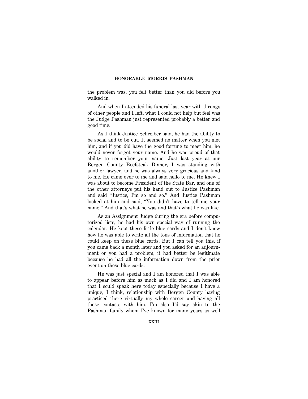the problem was, you felt better than you did before you walked in.

And when I attended his funeral last year with throngs of other people and I left, what I could not help but feel was the Judge Pashman just represented probably a better and good time.

As I think Justice Schreiber said, he had the ability to be social and to be out. It seemed no matter when you met him, and if you did have the good fortune to meet him, he would never forget your name. And he was proud of that ability to remember your name. Just last year at our Bergen County Beefsteak Dinner, I was standing with another lawyer, and he was always very gracious and kind to me. He came over to me and said hello to me. He knew I was about to become President of the State Bar, and one of the other attorneys put his hand out to Justice Pashman and said ''Justice, I'm so and so.'' And Justice Pashman looked at him and said, ''You didn't have to tell me your name.'' And that's what he was and that's what he was like.

As an Assignment Judge during the era before computerized lists, he had his own special way of running the calendar. He kept these little blue cards and I don't know how he was able to write all the tons of information that he could keep on these blue cards. But I can tell you this, if you came back a month later and you asked for an adjournment or you had a problem, it had better be legitimate because he had all the information down from the prior event on those blue cards.

He was just special and I am honored that I was able to appear before him as much as I did and I am honored that I could speak here today especially because I have a unique, I think, relationship with Bergen County having practiced there virtually my whole career and having all those contacts with him. I'm also I'd say akin to the Pashman family whom I've known for many years as well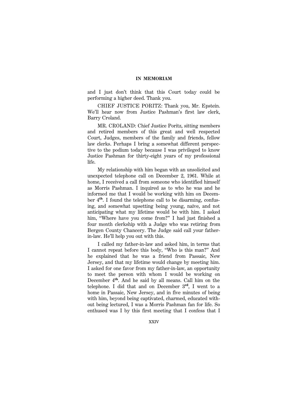and I just don't think that this Court today could be performing a higher deed. Thank you.

CHIEF JUSTICE PORITZ: Thank you, Mr. Epstein. We'll hear now from Justice Pashman's first law clerk, Barry Croland.

MR. CROLAND: Chief Justice Poritz, sitting members and retired members of this great and well respected Court, Judges, members of the family and friends, fellow law clerks. Perhaps I bring a somewhat different perspective to the podium today because I was privileged to know Justice Pashman for thirty-eight years of my professional life.

My relationship with him began with an unsolicited and unexpected telephone call on December 2, 1961. While at home, I received a call from someone who identified himself as Morris Pashman. I inquired as to who he was and he informed me that I would be working with him on December 4**th**. I found the telephone call to be disarming, confusing, and somewhat upsetting being young, naïve, and not anticipating what my lifetime would be with him. I asked him, ''Where have you come from?'' I had just finished a four month clerkship with a Judge who was retiring from Bergen County Chancery. The Judge said call your fatherin-law. He'll help you out with this.

I called my father-in-law and asked him, in terms that I cannot repeat before this body, ''Who is this man?'' And he explained that he was a friend from Passaic, New Jersey, and that my lifetime would change by meeting him. I asked for one favor from my father-in-law, an opportunity to meet the person with whom I would be working on December 4**th**. And he said by all means. Call him on the telephone. I did that and on December 3**rd**, I went to a home in Passaic, New Jersey, and in five minutes of being with him, beyond being captivated, charmed, educated without being lectured, I was a Morris Pashman fan for life. So enthused was I by this first meeting that I confess that I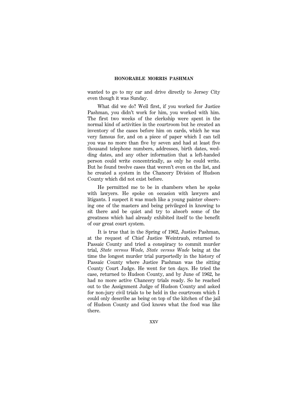wanted to go to my car and drive directly to Jersey City even though it was Sunday.

What did we do? Well first, if you worked for Justice Pashman, you didn't work for him, you worked with him. The first two weeks of the clerkship were spent in the normal kind of activities in the courtroom but he created an inventory of the cases before him on cards, which he was very famous for, and on a piece of paper which I can tell you was no more than five by seven and had at least five thousand telephone numbers, addresses, birth dates, wedding dates, and any other information that a left-handed person could write concentrically, as only he could write. But he found twelve cases that weren't even on the list, and he created a system in the Chancery Division of Hudson County which did not exist before.

He permitted me to be in chambers when he spoke with lawyers. He spoke on occasion with lawyers and litigants. I suspect it was much like a young painter observing one of the masters and being privileged in knowing to sit there and be quiet and try to absorb some of the greatness which had already exhibited itself to the benefit of our great court system.

It is true that in the Spring of 1962, Justice Pashman, at the request of Chief Justice Weintraub, returned to Passaic County and tried a conspiracy to commit murder trial, *State versus Wade, State versus Wade* being at the time the longest murder trial purportedly in the history of Passaic County where Justice Pashman was the sitting County Court Judge. He went for ten days. He tried the case, returned to Hudson County, and by June of 1962, he had no more active Chancery trials ready. So he reached out to the Assignment Judge of Hudson County and asked for non-jury civil trials to be held in the courtroom which I could only describe as being on top of the kitchen of the jail of Hudson County and God knows what the food was like there.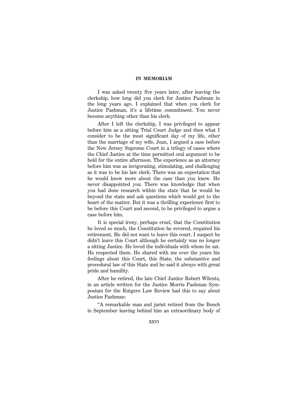I was asked twenty five years later, after leaving the clerkship, how long did you clerk for Justice Pashman in the long years ago. I explained that when you clerk for Justice Pashman, it's a lifetime commitment. You never become anything other than his clerk.

After I left the clerkship, I was privileged to appear before him as a sitting Trial Court Judge and then what I consider to be the most significant day of my life, other than the marriage of my wife, Joan, I argued a case before the New Jersey Supreme Court in a trilogy of cases where the Chief Justice at the time permitted oral argument to be held for the entire afternoon. The experience as an attorney before him was as invigorating, stimulating, and challenging as it was to be his law clerk. There was an expectation that he would know more about the case than you knew. He never disappointed you. There was knowledge that when you had done research within the state that he would be beyond the state and ask questions which would get to the heart of the matter. But it was a thrilling experience first to be before this Court and second, to be privileged to argue a case before him.

It is special irony, perhaps cruel, that the Constitution he loved so much, the Constitution he revered, required his retirement. He did not want to leave this court. I suspect he didn't leave this Court although he certainly was no longer a sitting Justice. He loved the individuals with whom he sat. He respected them. He shared with me over the years his feelings about this Court, this State, the substantive and procedural law of this State and he said it always with great pride and humility.

After he retired, the late Chief Justice Robert Wilentz, in an article written for the Justice Morris Pashman Symposium for the Rutgers Law Review had this to say about Justice Pashman:

''A remarkable man and jurist retired from the Bench in September leaving behind him an extraordinary body of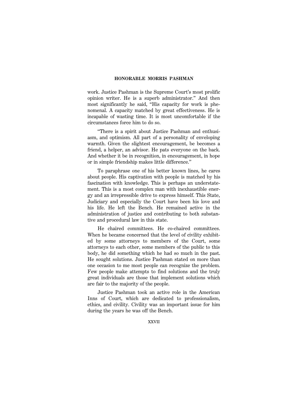work. Justice Pashman is the Supreme Court's most prolific opinion writer. He is a superb administrator.'' And then most significantly he said, ''His capacity for work is phenomenal. A capacity matched by great effectiveness. He is incapable of wasting time. It is most uncomfortable if the circumstances force him to do so.

''There is a spirit about Justice Pashman and enthusiasm, and optimism. All part of a personality of enveloping warmth. Given the slightest encouragement, be becomes a friend, a helper, an advisor. He pats everyone on the back. And whether it be in recognition, in encouragement, in hope or in simple friendship makes little difference.''

To paraphrase one of his better known lines, he cares about people. His captivation with people is matched by his fascination with knowledge. This is perhaps an understatement. This is a most complex man with inexhaustible energy and an irrepressible drive to express himself. This State, Judiciary and especially the Court have been his love and his life. He left the Bench. He remained active in the administration of justice and contributing to both substantive and procedural law in this state.

He chaired committees. He co-chaired committees. When he became concerned that the level of civility exhibited by some attorneys to members of the Court, some attorneys to each other, some members of the public to this body, he did something which he had so much in the past. He sought solutions. Justice Pashman stated on more than one occasion to me most people can recognize the problem. Few people make attempts to find solutions and the truly great individuals are those that implement solutions which are fair to the majority of the people.

Justice Pashman took an active role in the American Inns of Court, which are dedicated to professionalism, ethics, and civility. Civility was an important issue for him during the years he was off the Bench.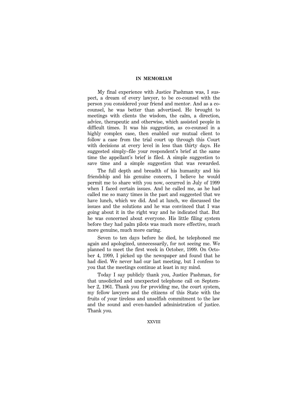My final experience with Justice Pashman was, I suspect, a dream of every lawyer, to be co-counsel with the person you considered your friend and mentor. And as a cocounsel, he was better than advertised. He brought to meetings with clients the wisdom, the calm, a direction, advice, therapeutic and otherwise, which assisted people in difficult times. It was his suggestion, as co-counsel in a highly complex case, then enabled our mutual client to follow a case from the trial court up through this Court with decisions at every level in less than thirty days. He suggested simply–file your respondent's brief at the same time the appellant's brief is filed. A simple suggestion to save time and a simple suggestion that was rewarded.

The full depth and breadth of his humanity and his friendship and his genuine concern, I believe he would permit me to share with you now, occurred in July of 1999 when I faced certain issues. And he called me, as he had called me so many times in the past and suggested that we have lunch, which we did. And at lunch, we discussed the issues and the solutions and he was convinced that I was going about it in the right way and he indicated that. But he was concerned about everyone. His little filing system before they had palm pilots was much more effective, much more genuine, much more caring.

Seven to ten days before he died, he telephoned me again and apologized, unnecessarily, for not seeing me. We planned to meet the first week in October, 1999. On October 4, 1999, I picked up the newspaper and found that he had died. We never had our last meeting, but I confess to you that the meetings continue at least in my mind.

Today I say publicly thank you, Justice Pashman, for that unsolicited and unexpected telephone call on September 2, 1961. Thank you for providing me, the court system, my fellow lawyers and the citizens of this State with the fruits of your tireless and unselfish commitment to the law and the sound and even-handed administration of justice. Thank you.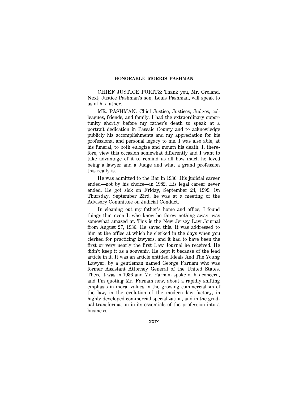CHIEF JUSTICE PORITZ: Thank you, Mr. Croland. Next, Justice Pashman's son, Louis Pashman, will speak to us of his father.

MR. PASHMAN: Chief Justice, Justices, Judges, colleagues, friends, and family. I had the extraordinary opportunity shortly before my father's death to speak at a portrait dedication in Passaic County and to acknowledge publicly his accomplishments and my appreciation for his professional and personal legacy to me. I was also able, at his funeral, to both eulogize and mourn his death. I, therefore, view this occasion somewhat differently and I want to take advantage of it to remind us all how much he loved being a lawyer and a Judge and what a grand profession this really is.

He was admitted to the Bar in 1936. His judicial career ended—not by his choice—in 1982. His legal career never ended. He got sick on Friday, September 24, 1999. On Thursday, September 23rd, he was at a meeting of the Advisory Committee on Judicial Conduct.

In cleaning out my father's home and office, I found things that even I, who knew he threw nothing away, was somewhat amazed at. This is the New Jersey Law Journal from August 27, 1936. He saved this. It was addressed to him at the office at which he clerked in the days when you clerked for practicing lawyers, and it had to have been the first or very nearly the first Law Journal he received. He didn't keep it as a souvenir. He kept it because of the lead article in it. It was an article entitled Ideals And The Young Lawyer, by a gentleman named George Farnam who was former Assistant Attorney General of the United States. There it was in 1936 and Mr. Farnam spoke of his concern, and I'm quoting Mr. Farnam now, about a rapidly shifting emphasis in moral values in the growing commercialism of the law, in the evolution of the modern law factory, in highly developed commercial specialization, and in the gradual transformation in its essentials of the profession into a business.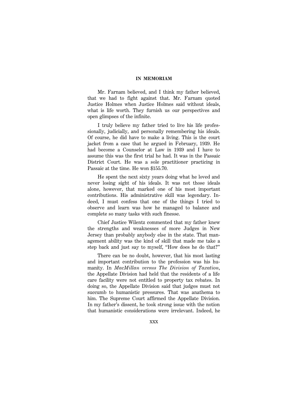Mr. Farnam believed, and I think my father believed, that we had to fight against that. Mr. Farnam quoted Justice Holmes when Justice Holmes said without ideals, what is life worth. They furnish us our perspectives and open glimpses of the infinite.

I truly believe my father tried to live his life professionally, judicially, and personally remembering his ideals. Of course, he did have to make a living. This is the court jacket from a case that he argued in February, 1939. He had become a Counselor at Law in 1939 and I have to assume this was the first trial he had. It was in the Passaic District Court. He was a sole practitioner practicing in Passaic at the time. He won \$155.70.

He spent the next sixty years doing what he loved and never losing sight of his ideals. It was not those ideals alone, however, that marked one of his most important contributions. His administrative skill was legendary. Indeed, I must confess that one of the things I tried to observe and learn was how he managed to balance and complete so many tasks with such finesse.

Chief Justice Wilentz commented that my father knew the strengths and weaknesses of more Judges in New Jersey than probably anybody else in the state. That management ability was the kind of skill that made me take a step back and just say to myself, ''How does he do that?''

There can be no doubt, however, that his most lasting and important contribution to the profession was his humanity. In *MacMillan versus The Division of Taxation*, the Appellate Division had held that the residents of a life care facility were not entitled to property tax rebates. In doing so, the Appellate Division said that judges must not succumb to humanistic pressures. That was anathema to him. The Supreme Court affirmed the Appellate Division. In my father's dissent, he took strong issue with the notion that humanistic considerations were irrelevant. Indeed, he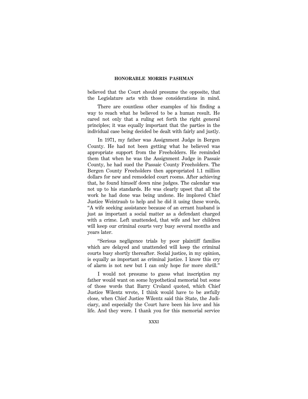believed that the Court should presume the opposite, that the Legislature acts with those considerations in mind.

There are countless other examples of his finding a way to reach what he believed to be a human result. He cared not only that a ruling set forth the right general principles; it was equally important that the parties in the individual case being decided be dealt with fairly and justly.

In 1971, my father was Assignment Judge in Bergen County. He had not been getting what he believed was appropriate support from the Freeholders. He reminded them that when he was the Assignment Judge in Passaic County, he had sued the Passaic County Freeholders. The Bergen County Freeholders then appropriated 1.1 million dollars for new and remodeled court rooms. After achieving that, he found himself down nine judges. The calendar was not up to his standards. He was clearly upset that all the work he had done was being undone. He implored Chief Justice Weintraub to help and he did it using these words, ''A wife seeking assistance because of an errant husband is just as important a social matter as a defendant charged with a crime. Left unattended, that wife and her children will keep our criminal courts very busy several months and years later.

''Serious negligence trials by poor plaintiff families which are delayed and unattended will keep the criminal courts busy shortly thereafter. Social justice, in my opinion, is equally as important as criminal justice. I know this cry of alarm is not new but I can only hope for more shrill.''

I would not presume to guess what inscription my father would want on some hypothetical memorial but some of those words that Barry Croland quoted, which Chief Justice Wilentz wrote, I think would have to be awfully close, when Chief Justice Wilentz said this State, the Judiciary, and especially the Court have been his love and his life. And they were. I thank you for this memorial service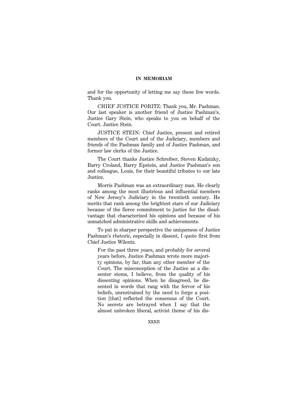and for the opportunity of letting me say these few words. Thank you.

CHIEF JUSTICE PORITZ: Thank you, Mr. Pashman. Our last speaker is another friend of Justice Pashman's, Justice Gary Stein, who speaks to you on behalf of the Court. Justice Stein.

JUSTICE STEIN: Chief Justice, present and retired members of the Court and of the Judiciary, members and friends of the Pashman family and of Justice Pashman, and former law clerks of the Justice.

The Court thanks Justice Schreiber, Steven Kudatzky, Barry Croland, Barry Epstein, and Justice Pashman's son and colleague, Louis, for their beautiful tributes to our late Justice.

Morris Pashman was an extraordinary man. He clearly ranks among the most illustrious and influential members of New Jersey's Judiciary in the twentieth century. He merits that rank among the brightest stars of our Judiciary because of the fierce commitment to justice for the disadvantage that characterized his opinions and because of his unmatched administrative skills and achievements.

To put in sharper perspective the uniqueness of Justice Pashman's rhetoric, especially in dissent, I quote first from Chief Justice Wilentz.

For the past three years, and probably for several years before, Justice Pashman wrote more majority opinions, by far, than any other member of the Court. The misconception of the Justice as a dissenter stems, I believe, from the quality of his dissenting opinions. When he disagreed, he dissented in words that rang with the fervor of his beliefs, unrestrained by the need to forge a position [that] reflected the consensus of the Court. No secrets are betrayed when I say that the almost unbroken liberal, activist theme of his dis-

XXXII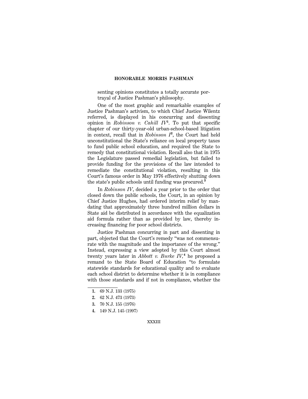senting opinions constitutes a totally accurate portrayal of Justice Pashman's philosophy.

One of the most graphic and remarkable examples of Justice Pashman's activism, to which Chief Justice Wilentz referred, is displayed in his concurring and dissenting opinion in *Robinson v. Cahill IV***<sup>1</sup>** . To put that specific chapter of our thirty-year-old urban-school-based litigation in context, recall that in *Robinson I***<sup>2</sup>** , the Court had held unconstitutional the State's reliance on local property taxes to fund public school education, and required the State to remedy that constitutional violation. Recall also that in 1975 the Legislature passed remedial legislation, but failed to provide funding for the provisions of the law intended to remediate the constitutional violation, resulting in this Court's famous order in May 1976 effectively shutting down the state's public schools until funding was procured.**<sup>3</sup>**

In *Robinson IV*, decided a year prior to the order that closed down the public schools, the Court, in an opinion by Chief Justice Hughes, had ordered interim relief by mandating that approximately three hundred million dollars in State aid be distributed in accordance with the equalization aid formula rather than as provided by law, thereby increasing financing for poor school districts.

Justice Pashman concurring in part and dissenting in part, objected that the Court's remedy ''was not commensurate with the magnitude and the importance of the wrong.'' Instead, expressing a view adopted by this Court almost twenty years later in *Abbott v. Burke IV,***<sup>4</sup>** he proposed a remand to the State Board of Education ''to formulate statewide standards for educational quality and to evaluate each school district to determine whether it is in compliance with those standards and if not in compliance, whether the

- **1.** 69 N.J. 133 (1975)
- **2.** 62 N.J. 473 (1973)
- **3.** 70 N.J. 155 (1976)
- **4.** 149 N.J. 145 (1997)

XXXIII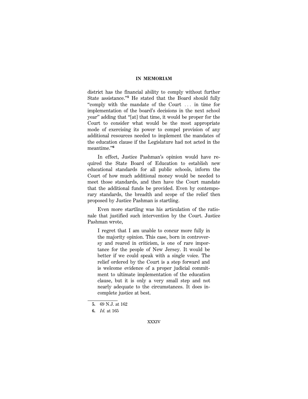district has the financial ability to comply without further State assistance."<sup>5</sup> He stated that the Board should fully "comply with the mandate of the Court ... in time for implementation of the board's decisions in the next school year'' adding that ''[at] that time, it would be proper for the Court to consider what would be the most appropriate mode of exercising its power to compel provision of any additional resources needed to implement the mandates of the education clause if the Legislature had not acted in the meantime.''**<sup>6</sup>**

In effect, Justice Pashman's opinion would have required the State Board of Education to establish new educational standards for all public schools, inform the Court of how much additional money would be needed to meet those standards, and then have the Court mandate that the additional funds be provided. Even by contemporary standards, the breadth and scope of the relief then proposed by Justice Pashman is startling.

Even more startling was his articulation of the rationale that justified such intervention by the Court. Justice Pashman wrote,

I regret that I am unable to concur more fully in the majority opinion. This case, born in controversy and reared in criticism, is one of rare importance for the people of New Jersey. It would be better if we could speak with a single voice. The relief ordered by the Court is a step forward and is welcome evidence of a proper judicial commitment to ultimate implementation of the education clause, but it is only a very small step and not nearly adequate to the circumstances. It does incomplete justice at best.

**<sup>5.</sup>** 69 N.J. at 162

**<sup>6.</sup>** *Id.* at 165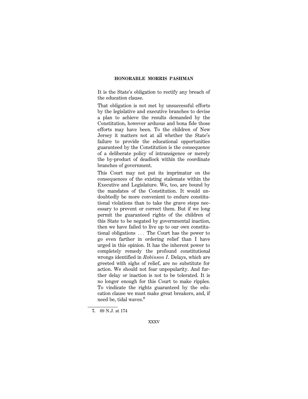It is the State's obligation to rectify any breach of the education clause.

That obligation is not met by unsuccessful efforts by the legislative and executive branches to devise a plan to achieve the results demanded by the Constitution, however arduous and bona fide those efforts may have been. To the children of New Jersey it matters not at all whether the State's failure to provide the educational opportunities guaranteed by the Constitution is the consequence of a deliberate policy of intransigence or merely the by-product of deadlock within the coordinate branches of government.

This Court may not put its imprimatur on the consequences of the existing stalemate within the Executive and Legislature. We, too, are bound by the mandates of the Constitution. It would undoubtedly be more convenient to endure constitutional violations than to take the grave steps necessary to prevent or correct them. But if we long permit the guaranteed rights of the children of this State to be negated by governmental inaction, then we have failed to live up to our own constitutional obligations  $\ldots$  The Court has the power to go even farther in ordering relief than I have urged in this opinion. It has the inherent power to completely remedy the profound constitutional wrongs identified in *Robinson I*. Delays, which are greeted with sighs of relief, are no substitute for action. We should not fear unpopularity. And further delay or inaction is not to be tolerated. It is no longer enough for this Court to make ripples. To vindicate the rights guaranteed by the education clause we must make great breakers, and, if need be, tidal waves.**<sup>7</sup>**

**<sup>7.</sup>** 69 N.J. at 174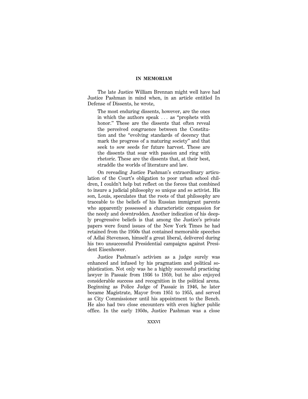The late Justice William Brennan might well have had Justice Pashman in mind when, in an article entitled In Defense of Dissents, he wrote,

The most enduring dissents, however, are the ones in which the authors speak  $\ldots$  as "prophets with honor.'' These are the dissents that often reveal the perceived congruence between the Constitution and the ''evolving standards of decency that mark the progress of a maturing society'' and that seek to sow seeds for future harvest. These are the dissents that soar with passion and ring with rhetoric. These are the dissents that, at their best, straddle the worlds of literature and law.

On rereading Justice Pashman's extraordinary articulation of the Court's obligation to poor urban school children, I couldn't help but reflect on the forces that combined to insure a judicial philosophy so unique and so activist. His son, Louis, speculates that the roots of that philosophy are traceable to the beliefs of his Russian immigrant parents who apparently possessed a characteristic compassion for the needy and downtrodden. Another indication of his deeply progressive beliefs is that among the Justice's private papers were found issues of the New York Times he had retained from the 1950s that contained memorable speeches of Adlai Stevenson, himself a great liberal, delivered during his two unsuccessful Presidential campaigns against President Eisenhower.

Justice Pashman's activism as a judge surely was enhanced and infused by his pragmatism and political sophistication. Not only was he a highly successful practicing lawyer in Passaic from 1936 to 1959, but he also enjoyed considerable success and recognition in the political arena. Beginning as Police Judge of Passaic in 1946, he later became Magistrate, Mayor from 1951 to 1955, and served as City Commissioner until his appointment to the Bench. He also had two close encounters with even higher public office. In the early 1950s, Justice Pashman was a close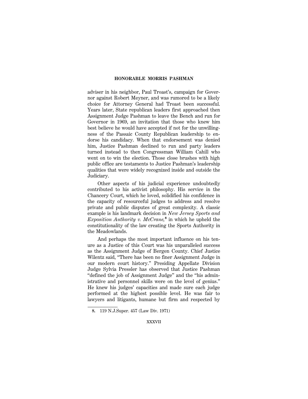adviser in his neighbor, Paul Troast's, campaign for Governor against Robert Meyner, and was rumored to be a likely choice for Attorney General had Troast been successful. Years later, State republican leaders first approached then Assignment Judge Pashman to leave the Bench and run for Governor in 1969, an invitation that those who knew him best believe he would have accepted if not for the unwillingness of the Passaic County Republican leadership to endorse his candidacy. When that endorsement was denied him, Justice Pashman declined to run and party leaders turned instead to then Congressman William Cahill who went on to win the election. Those close brushes with high public office are testaments to Justice Pashman's leadership qualities that were widely recognized inside and outside the Judiciary.

Other aspects of his judicial experience undoubtedly contributed to his activist philosophy. His service in the Chancery Court, which he loved, solidified his confidence in the capacity of resourceful judges to address and resolve private and public disputes of great complexity. A classic example is his landmark decision in *New Jersey Sports and Exposition Authority v. McCrane,***<sup>8</sup>** in which he upheld the constitutionality of the law creating the Sports Authority in the Meadowlands.

And perhaps the most important influence on his tenure as a Justice of this Court was his unparalleled success as the Assignment Judge of Bergen County. Chief Justice Wilentz said, ''There has been no finer Assignment Judge in our modern court history.'' Presiding Appellate Division Judge Sylvia Pressler has observed that Justice Pashman ''defined the job of Assignment Judge'' and the ''his administrative and personnel skills were on the level of genius.'' He knew his judges' capacities and made sure each judge performed at the highest possible level. He was fair to lawyers and litigants, humane but firm and respected by

**<sup>8.</sup>** 119 N.J.Super. 457 (Law Div. 1971)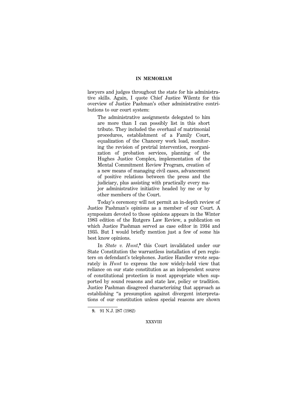lawyers and judges throughout the state for his administrative skills. Again, I quote Chief Justice Wilentz for this overview of Justice Pashman's other administrative contributions to our court system:

The administrative assignments delegated to him are more than I can possibly list in this short tribute. They included the overhaul of matrimonial procedures, establishment of a Family Court, equalization of the Chancery work load, monitoring the revision of pretrial intervention, reorganization of probation services, planning of the Hughes Justice Complex, implementation of the Mental Commitment Review Program, creation of a new means of managing civil cases, advancement of positive relations between the press and the judiciary, plus assisting with practically every major administrative initiative headed by me or by other members of the Court.

Today's ceremony will not permit an in-depth review of Justice Pashman's opinions as a member of our Court. A symposium devoted to those opinions appears in the Winter 1983 edition of the Rutgers Law Review, a publication on which Justice Pashman served as case editor in 1934 and 1935. But I would briefly mention just a few of some his best know opinions.

In *State v. Hunt*,<sup>9</sup> this Court invalidated under our State Constitution the warrantless installation of pen registers on defendant's telephones. Justice Handler wrote separately in *Hunt* to express the now widely-held view that reliance on our state constitution as an independent source of constitutional protection is most appropriate when supported by sound reasons and state law, policy or tradition. Justice Pashman disagreed characterizing that approach as establishing ''a presumption against divergent interpretations of our constitution unless special reasons are shown

**<sup>9.</sup>** 91 N.J. 287 (1982)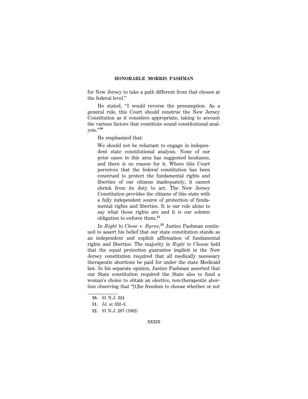for New Jersey to take a path different from that chosen at the federal level.''

He stated, ''I would reverse the presumption. As a general rule, this Court should construe the New Jersey Constitution as it considers appropriate, taking to account the various factors that constitute sound constitutional analysis.''**<sup>10</sup>**

He emphasized that:

We should not be reluctant to engage in independent state constitutional analysis. None of our prior cases in this area has suggested hesitance, and there is no reason for it. Where this Court perceives that the federal constitution has been construed to protect the fundamental rights and liberties of our citizens inadequately, it cannot shrink from its duty to act. The New Jersey Constitution provides the citizens of this state with a fully independent source of protection of fundamental rights and liberties. It is our role alone to say what those rights are and it is our solemn obligation to enforce them.**<sup>11</sup>**

In *Right to Chose v. Byrne*, **12** Justice Pashman continued to assert his belief that our state constitution stands as an independent and explicit affirmation of fundamental rights and liberties. The majority in *Right to Choose* held that the equal protection guarantee implicit in the New Jersey constitution required that all medically necessary therapeutic abortions be paid for under the state Medicaid law. In his separate opinion, Justice Pashman asserted that our State constitution required the State also to fund a woman's choice to obtain an elective, non-therapeutic abortion observing that ''[t]he freedom to choose whether or not

**12.** 91 N.J. 287 (1982)

**<sup>10.</sup>** 91 N.J. 324

**<sup>11.</sup>** *Id.* at 332–3.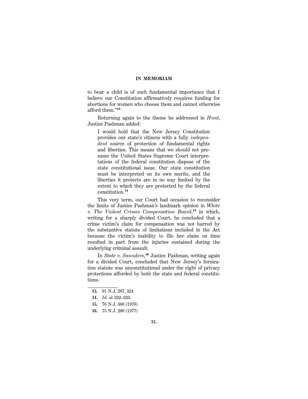to bear a child is of such fundamental importance that I believe our Constitution affirmatively requires funding for abortions for women who choose them and cannot otherwise afford them.''**<sup>13</sup>**

Returning again to the theme he addressed in *Hunt*, Justice Pashman added:

I would hold that the New Jersey Constitution provides our state's citizens with a fully *independent* source of protection of fundamental rights and liberties. This means that we should not presume the United States Supreme Court interpretations of the federal constitution dispose of the state constitutional issue. Our state constitution must be interpreted on its own merits, and the liberties it protects are in no way limited by the extent to which they are protected by the federal constitution.**<sup>14</sup>**

This very term, our Court had occasion to reconsider the limits of Justice Pashman's landmark opinion in *White v. The Violent Crimes Compensation Board*, **<sup>15</sup>** in which, writing for a sharply divided Court, he concluded that a crime victim's claim for compensation was not barred by the substantive statute of limitations included in the Act because the victim's inability to file her claim on time resulted in part from the injuries sustained during the underlying criminal assault.

In *State v. Saunders*, **<sup>16</sup>** Justice Pashman, writing again for a divided Court, concluded that New Jersey's fornication statute was unconstitutional under the right of privacy protections afforded by both the state and federal constitutions.

**<sup>13.</sup>** 91 N.J. 287, 324

**<sup>14.</sup>** *Id.* at 332–333.

**<sup>15.</sup>** 76 N.J. 368 (1978)

**<sup>16.</sup>** 75 N.J. 200 (1977)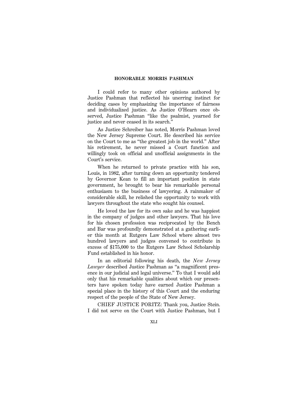I could refer to many other opinions authored by Justice Pashman that reflected his unerring instinct for deciding cases by emphasizing the importance of fairness and individualized justice. As Justice O'Hearn once observed, Justice Pashman ''like the psalmist, yearned for justice and never ceased in its search.''

As Justice Schreiber has noted, Morris Pashman loved the New Jersey Supreme Court. He described his service on the Court to me as ''the greatest job in the world.'' After his retirement, he never missed a Court function and willingly took on official and unofficial assignments in the Court's service.

When he returned to private practice with his son, Louis, in 1982, after turning down an opportunity tendered by Governor Kean to fill an important position in state government, he brought to bear his remarkable personal enthusiasm to the business of lawyering. A rainmaker of considerable skill, he relished the opportunity to work with lawyers throughout the state who sought his counsel.

He loved the law for its own sake and he was happiest in the company of judges and other lawyers. That his love for his chosen profession was reciprocated by the Bench and Bar was profoundly demonstrated at a gathering earlier this month at Rutgers Law School where almost two hundred lawyers and judges convened to contribute in excess of \$175,000 to the Rutgers Law School Scholarship Fund established in his honor.

In an editorial following his death, the *New Jersey Lawyer* described Justice Pashman as ''a magnificent presence in our judicial and legal universe.'' To that I would add only that his remarkable qualities about which our presenters have spoken today have earned Justice Pashman a special place in the history of this Court and the enduring respect of the people of the State of New Jersey.

CHIEF JUSTICE PORITZ: Thank you, Justice Stein. I did not serve on the Court with Justice Pashman, but I